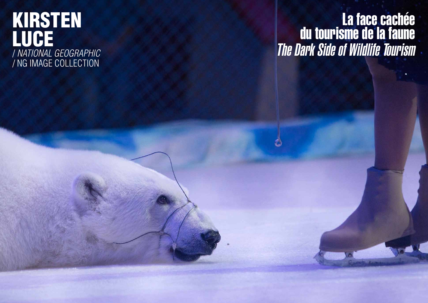#### KIRSTEN LUCE / *NATIONAL GEOGRAPHIC* / NG IMAGE COLLECTION

# La face cachée du tourisme de la faune The Dark Side of Wildlife Tourism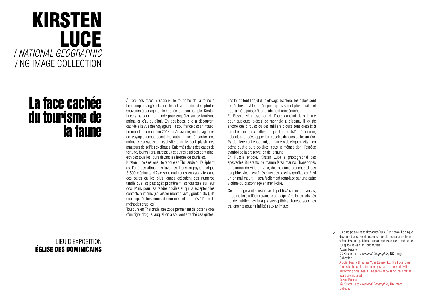### KIRSTEN LUCE / *NATIONAL GEOGRAPHIC* / NG IMAGE COLLECTION

### La face cachée du tourisme de la faune

LIEU D'EXPOSITION ÉGLISE DES DOMINICAINS À l'ère des réseaux sociaux, le tourisme de la faune a beaucoup changé, chacun tenant à prendre des photos souvenirs à partager en temps réel sur son compte. Kirsten Luce a parcouru le monde pour enquêter sur ce tourisme animalier d'aujourd'hui. En coulisses, elle a découvert, cachée à la vue des voyageurs, la souffrance des animaux. Le reportage débute en 2018 en Amazonie, où les agences de voyages encouragent les autochtones à garder des animaux sauvages en captivité pour le seul plaisir des amateurs de selfies exotiques. Enfermés dans des cages de fortune, fourmiliers, paresseux et autres espèces sont ainsi exhibés tous les jours devant les hordes de touristes.

Kirsten Luce s'est ensuite rendue en Thaïlande où l'éléphant est l'une des attractions favorites. Dans ce pays, quelque 3 500 éléphants d'Asie sont maintenus en captivité dans des parcs où les plus jeunes exécutent des numéros tandis que les plus âgés promènent les touristes sur leur dos. Mais pour les rendre dociles et qu'ils acceptent les contacts humains (se laisser monter, laver, guider, etc.), ils sont séparés très jeunes de leur mère et domptés à l'aide de méthodes cruelles.

Toujours en Thaïlande, des zoos permettent de poser à côté d'un tigre drogué, auquel on a souvent arraché ses griffes.

Les félins font l'objet d'un élevage accéléré: les bébés sont retirés très tôt à leur mère pour qu'ils soient plus dociles et que la mère puisse être rapidement réinséminée.

En Russie, si la tradition de l'ours dansant dans la rue pour quelques pièces de monnaie a disparu, il existe encore des cirques où des milliers d'ours sont dressés à marcher sur deux pattes, et que l'on enchaîne à un mur, debout, pour développer les muscles de leurs pattes arrière. Particulièrement choquant, un numéro de cirque mettant en scène quatre ours polaires, ceux-là mêmes dont l'espèce symbolise la préservation de la faune.

En Russie encore, Kirsten Luce a photographié des spectacles itinérants de mammifères marins. Transportés en camion de ville en ville, des baleines blanches et des dauphins vivent confinés dans des bassins gonflables. Et si un animal meurt, il sera facilement remplacé par une autre victime du braconnage en mer Noire.

Ce reportage veut sensibiliser le public à ces maltraitances, nous inciter à réfléchir avant de participer à de telles activités ou de publier des images susceptibles d'encourager ces traitements abusifs infligés aux animaux.

> Un ours polaire et sa dresseuse Yulia Denisenko. Le cirque des ours blancs serait le seul cirque du monde à mettre en scène des ours polaires. La totalité du spectacle se déroule sur glace et les ours sont muselés. Kazan, Russie. © Kirsten Luce / *National Geographic* / NG Image Collection A polar bear with trainer Yulia Denisenko. The Polar Bear Circus is thought to be the only circus in the world with performing polar bears. The entire show is on ice, and the bears are muzzled. Kazan, Russia. © Kirsten Luce / *National Geographic* / NG Image Collection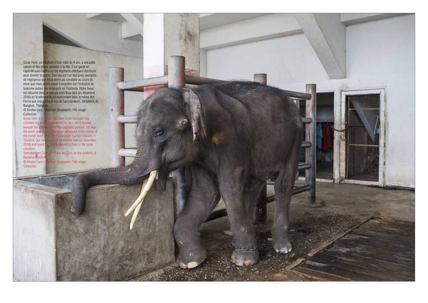Gluay Hom, un éléphant d'Asie mâle de 4 ans, a une patte cassée et des plaies ouvertes à la tête. Il est gardé en captivité sous l'arène où les éléphants effectuent des tours pour divertir le public. Son cas est l'un des pires exemples de négligence que nous avons pu constater au cours du mois que nous avons passé à enquêter sur l'industrie du tourisme autour des éléphants en Thaïlande. Notre fixeur est retourné dans ce zoo six mois plus tard (en décembre 2018) et l'a retrouvé là, se morfondant dans le même état. Ferme aux crocodiles et zoo de Samutprakarn, périphérie de

ear-old male Asian elephant, has a broken leg and open sores on his face. He is housed beneath the stadium where the elephants perform. His was the worst case of neglect that we witnessed in the course of the month spent covering the elephant tourism industry in the month spent covering the elephant tourism industry in<br>Thailand. Our fixer returned six months later (in December ned six months later (in December 2018) and found him still languishing there in the same

le Farm and Zoo, on the outskirts of



Bangkok, Thaïlande. **Collection**<br>**Gluay Hom, a four** condition.<br>Samutprakarn Cro Bangkok, Thailan © Kirsten Luce / *National Geographic* / NG Image Collection

© Kirsten Luce / *National Geographic* / NG Image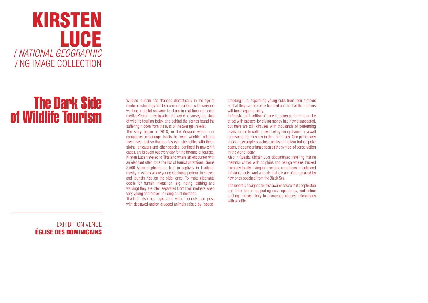### KIRSTEN LUCE / *NATIONAL GEOGRAPHIC* / NG IMAGE COLLECTION

## The Dark Side of Wildlife Tourism

EXHIBITION VENUE ÉGLISE DES DOMINICAINS

Wildlife tourism has changed dramatically in the age of modern technology and telecommunications, with everyone wanting a digital souvenir to share in real time via social media. Kirsten Luce traveled the world to survey the state of wildlife tourism today, and behind the scenes found the suffering hidden from the eyes of the average traveler.

Thailand also has tiger zoos where tourists can pose with declawed and/or drugged animals raised by "speedbreeding," i.e. separating young cubs from their mothers so that they can be easily handled and so that the mothers will breed again quickly.

The story began in 2018, in the Amazon where tour companies encourage locals to keep wildlife, offering incentives, just so that tourists can take selfies with them: sloths, anteaters and other species, confined in makeshift cages, are brought out every day for the throngs of tourists. Kirsten Luce traveled to Thailand where an encounter with an elephant often tops the list of tourist attractions. Some 3,500 Asian elephants are kept in captivity in Thailand, mostly in camps where young elephants perform in shows, and tourists ride on the older ones. To make elephants docile for human interaction (e.g. riding, bathing and walking) they are often separated from their mothers when very young and broken in using cruel methods.

In Russia, the tradition of dancing bears performing on the street with passers-by giving money has now disappeared, but there are still circuses with thousands of performing bears trained to walk on two feet by being chained to a wall to develop the muscles in their hind legs. One particularly shocking example is a circus act featuring four trained polar bears, the same animals seen as the symbol of conservation in the world today.

Also in Russia, Kirsten Luce documented traveling marine mammal shows with dolphins and beluga whales trucked from city to city, living in miserable conditions in tanks and inflatable tents. And animals that die are often replaced by new ones poached from the Black Sea.

The report is designed to raise awareness so that people stop and think before supporting such operations, and before posting images likely to encourage abusive interactions with wildlife.